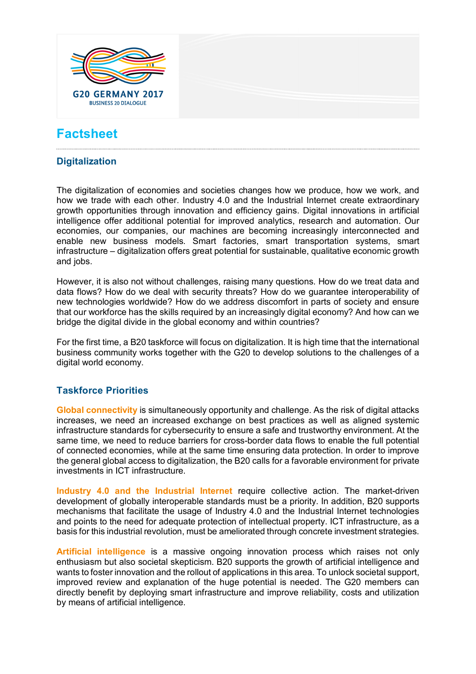

# **Factsheet**

## **Digitalization**

The digitalization of economies and societies changes how we produce, how we work, and how we trade with each other. Industry 4.0 and the Industrial Internet create extraordinary growth opportunities through innovation and efficiency gains. Digital innovations in artificial intelligence offer additional potential for improved analytics, research and automation. Our economies, our companies, our machines are becoming increasingly interconnected and enable new business models. Smart factories, smart transportation systems, smart infrastructure – digitalization offers great potential for sustainable, qualitative economic growth and jobs.

However, it is also not without challenges, raising many questions. How do we treat data and data flows? How do we deal with security threats? How do we guarantee interoperability of new technologies worldwide? How do we address discomfort in parts of society and ensure that our workforce has the skills required by an increasingly digital economy? And how can we bridge the digital divide in the global economy and within countries?

For the first time, a B20 taskforce will focus on digitalization. It is high time that the international business community works together with the G20 to develop solutions to the challenges of a digital world economy.

#### **Taskforce Priorities**

**Global connectivity** is simultaneously opportunity and challenge. As the risk of digital attacks increases, we need an increased exchange on best practices as well as aligned systemic infrastructure standards for cybersecurity to ensure a safe and trustworthy environment. At the same time, we need to reduce barriers for cross-border data flows to enable the full potential of connected economies, while at the same time ensuring data protection. In order to improve the general global access to digitalization, the B20 calls for a favorable environment for private investments in ICT infrastructure.

**Industry 4.0 and the Industrial Internet** require collective action. The market-driven development of globally interoperable standards must be a priority. In addition, B20 supports mechanisms that facilitate the usage of Industry 4.0 and the Industrial Internet technologies and points to the need for adequate protection of intellectual property. ICT infrastructure, as a basis for this industrial revolution, must be ameliorated through concrete investment strategies.

**Artificial intelligence** is a massive ongoing innovation process which raises not only enthusiasm but also societal skepticism. B20 supports the growth of artificial intelligence and wants to foster innovation and the rollout of applications in this area. To unlock societal support, improved review and explanation of the huge potential is needed. The G20 members can directly benefit by deploying smart infrastructure and improve reliability, costs and utilization by means of artificial intelligence.